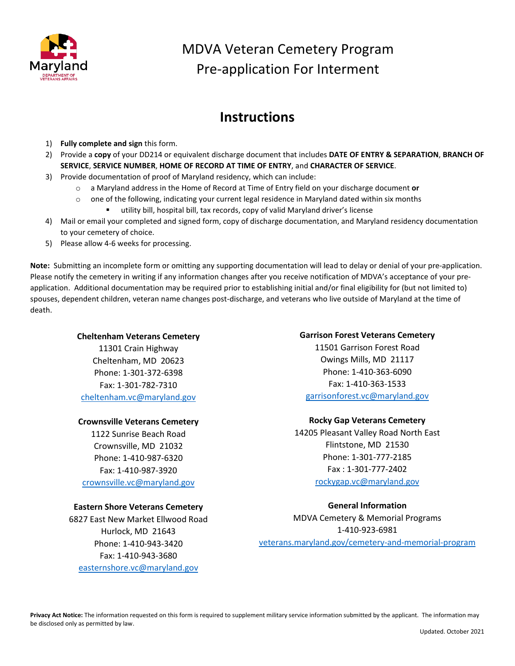

# MDVA Veteran Cemetery Program Pre-application For Interment

### **Instructions**

- 1) **Fully complete and sign** this form.
- 2) Provide a **copy** of your DD214 or equivalent discharge document that includes **DATE OF ENTRY & SEPARATION**, **BRANCH OF SERVICE**, **SERVICE NUMBER**, **HOME OF RECORD AT TIME OF ENTRY**, and **CHARACTER OF SERVICE**.
- 3) Provide documentation of proof of Maryland residency, which can include:
	- o a Maryland address in the Home of Record at Time of Entry field on your discharge document **or**
	- $\circ$  one of the following, indicating your current legal residence in Maryland dated within six months
		- utility bill, hospital bill, tax records, copy of valid Maryland driver's license
- 4) Mail or email your completed and signed form, copy of discharge documentation, and Maryland residency documentation to your cemetery of choice.
- 5) Please allow 4-6 weeks for processing.

**Note:** Submitting an incomplete form or omitting any supporting documentation will lead to delay or denial of your pre-application. Please notify the cemetery in writing if any information changes after you receive notification of MDVA's acceptance of your preapplication. Additional documentation may be required prior to establishing initial and/or final eligibility for (but not limited to) spouses, dependent children, veteran name changes post-discharge, and veterans who live outside of Maryland at the time of death.

#### **Cheltenham Veterans Cemetery**

11301 Crain Highway Cheltenham, MD 20623 Phone: 1-301-372-6398 Fax: 1-301-782-7310 [cheltenham.vc@maryland.gov](mailto:cheltenham.vc@maryland.gov)

### **Crownsville Veterans Cemetery**

1122 Sunrise Beach Road Crownsville, MD 21032 Phone: 1-410-987-6320 Fax: 1-410-987-3920 [crownsville.vc@maryland.gov](mailto:crownsville.vc@maryland.gov)

### **Eastern Shore Veterans Cemetery**

6827 East New Market Ellwood Road Hurlock, MD 21643 Phone: 1-410-943-3420 Fax: 1-410-943-3680 [easternshore.vc@maryland.gov](mailto:easternshore.vc@maryland.gov)

#### **Garrison Forest Veterans Cemetery**

11501 Garrison Forest Road Owings Mills, MD 21117 Phone: 1-410-363-6090 Fax: 1-410-363-1533 [garrisonforest.vc@maryland.gov](mailto:garrisonforest.vc@maryland.gov)

### **Rocky Gap Veterans Cemetery**

14205 Pleasant Valley Road North East Flintstone, MD 21530 Phone: 1-301-777-2185 Fax : 1-301-777-2402 [rockygap.vc@maryland.gov](mailto:rockygap.vc@maryland.gov)

### **General Information**

MDVA Cemetery & Memorial Programs 1-410-923-6981 veterans.maryland.gov/cemetery-and-memorial-program

**Privacy Act Notice:** The information requested on this form is required to supplement military service information submitted by the applicant. The information may be disclosed only as permitted by law.